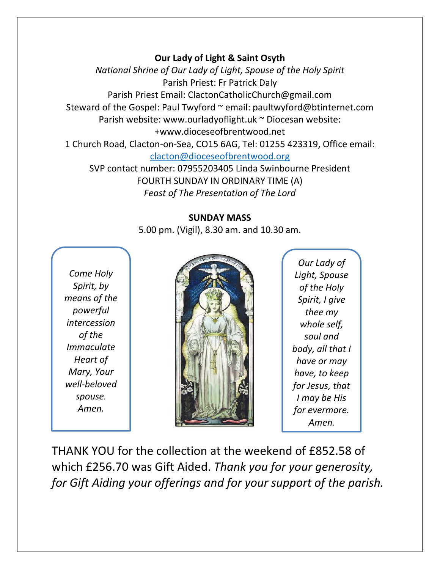## **Our Lady of Light & Saint Osyth**

*National Shrine of Our Lady of Light, Spouse of the Holy Spirit* Parish Priest: Fr Patrick Daly Parish Priest Email: ClactonCatholicChurch@gmail.com Steward of the Gospel: Paul Twyford ~ email: paultwyford@btinternet.com Parish website: www.ourladyoflight.uk ~ Diocesan website: +www.dioceseofbrentwood.net 1 Church Road, Clacton-on-Sea, CO15 6AG, Tel: 01255 423319, Office email: [clacton@dioceseofbrentwood.org](mailto:clacton@dioceseofbrentwood.org) SVP contact number: 07955203405 Linda Swinbourne President

> FOURTH SUNDAY IN ORDINARY TIME (A) *Feast of The Presentation of The Lord*

## **SUNDAY MASS**

5.00 pm. (Vigil), 8.30 am. and 10.30 am.

*Come Holy Spirit, by means of the powerful intercession of the Immaculate Heart of Mary, Your well-beloved spouse. Amen.*



*Our Lady of Light, Spouse of the Holy Spirit, I give thee my whole self, soul and body, all that I have or may have, to keep for Jesus, that I may be His for evermore. Amen.*

THANK YOU for the collection at the weekend of £852.58 of which £256.70 was Gift Aided. *Thank you for your generosity, for Gift Aiding your offerings and for your support of the parish.*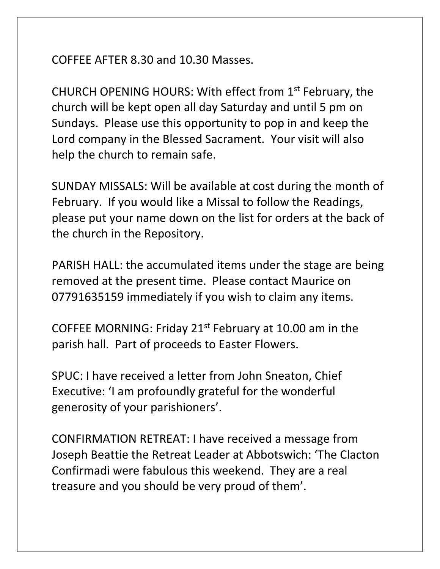COFFEE AFTER 8.30 and 10.30 Masses.

CHURCH OPENING HOURS: With effect from 1st February, the church will be kept open all day Saturday and until 5 pm on Sundays. Please use this opportunity to pop in and keep the Lord company in the Blessed Sacrament. Your visit will also help the church to remain safe.

SUNDAY MISSALS: Will be available at cost during the month of February. If you would like a Missal to follow the Readings, please put your name down on the list for orders at the back of the church in the Repository.

PARISH HALL: the accumulated items under the stage are being removed at the present time. Please contact Maurice on 07791635159 immediately if you wish to claim any items.

COFFEE MORNING: Friday 21st February at 10.00 am in the parish hall. Part of proceeds to Easter Flowers.

SPUC: I have received a letter from John Sneaton, Chief Executive: 'I am profoundly grateful for the wonderful generosity of your parishioners'.

CONFIRMATION RETREAT: I have received a message from Joseph Beattie the Retreat Leader at Abbotswich: 'The Clacton Confirmadi were fabulous this weekend. They are a real treasure and you should be very proud of them'.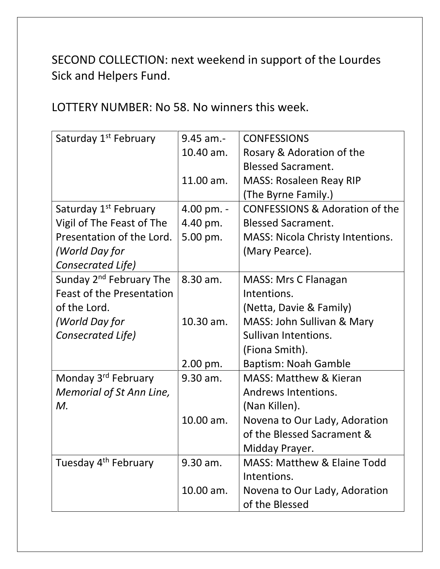SECOND COLLECTION: next weekend in support of the Lourdes Sick and Helpers Fund.

LOTTERY NUMBER: No 58. No winners this week.

| Saturday 1 <sup>st</sup> February   | $9.45$ am.- | <b>CONFESSIONS</b>                        |
|-------------------------------------|-------------|-------------------------------------------|
|                                     | 10.40 am.   | Rosary & Adoration of the                 |
|                                     |             | <b>Blessed Sacrament.</b>                 |
|                                     | 11.00 am.   | <b>MASS: Rosaleen Reay RIP</b>            |
|                                     |             | (The Byrne Family.)                       |
| Saturday 1 <sup>st</sup> February   | 4.00 pm. -  | <b>CONFESSIONS &amp; Adoration of the</b> |
| Vigil of The Feast of The           | 4.40 pm.    | <b>Blessed Sacrament.</b>                 |
| Presentation of the Lord.           | 5.00 pm.    | <b>MASS: Nicola Christy Intentions.</b>   |
| (World Day for                      |             | (Mary Pearce).                            |
| Consecrated Life)                   |             |                                           |
| Sunday 2 <sup>nd</sup> February The | 8.30 am.    | MASS: Mrs C Flanagan                      |
| <b>Feast of the Presentation</b>    |             | Intentions.                               |
| of the Lord.                        |             | (Netta, Davie & Family)                   |
| (World Day for                      | 10.30 am.   | MASS: John Sullivan & Mary                |
| Consecrated Life)                   |             | Sullivan Intentions.                      |
|                                     |             | (Fiona Smith).                            |
|                                     | 2.00 pm.    | <b>Baptism: Noah Gamble</b>               |
| Monday 3rd February                 | 9.30 am.    | <b>MASS: Matthew &amp; Kieran</b>         |
| Memorial of St Ann Line,            |             | Andrews Intentions.                       |
| M.                                  |             | (Nan Killen).                             |
|                                     | 10.00 am.   | Novena to Our Lady, Adoration             |
|                                     |             | of the Blessed Sacrament &                |
|                                     |             | Midday Prayer.                            |
| Tuesday 4 <sup>th</sup> February    | 9.30 am.    | <b>MASS: Matthew &amp; Elaine Todd</b>    |
|                                     |             | Intentions.                               |
|                                     | 10.00 am.   | Novena to Our Lady, Adoration             |
|                                     |             | of the Blessed                            |